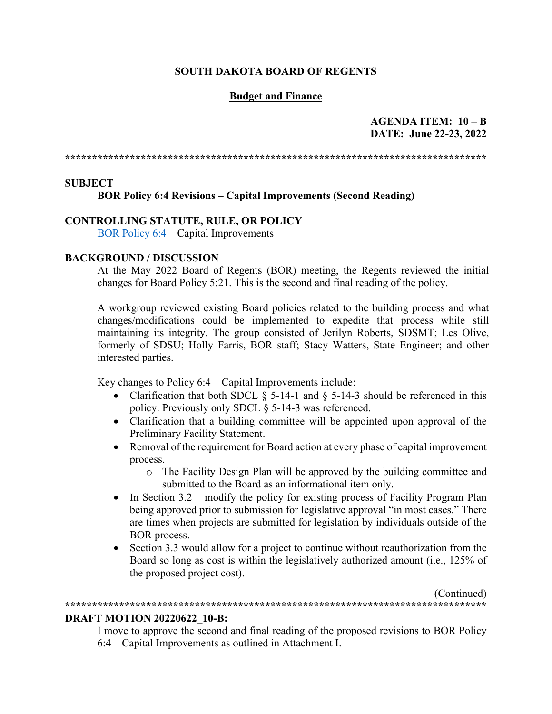#### **SOUTH DAKOTA BOARD OF REGENTS**

### **Budget and Finance**

### **AGENDA ITEM: 10 – B DATE: June 22-23, 2022**

**\*\*\*\*\*\*\*\*\*\*\*\*\*\*\*\*\*\*\*\*\*\*\*\*\*\*\*\*\*\*\*\*\*\*\*\*\*\*\*\*\*\*\*\*\*\*\*\*\*\*\*\*\*\*\*\*\*\*\*\*\*\*\*\*\*\*\*\*\*\*\*\*\*\*\*\*\*\***

#### **SUBJECT**

#### **BOR Policy 6:4 Revisions – Capital Improvements (Second Reading)**

## **CONTROLLING STATUTE, RULE, OR POLICY**

[BOR Policy 6:4](https://www.sdbor.edu/policy/documents/6-4.pdf) – Capital Improvements

#### **BACKGROUND / DISCUSSION**

At the May 2022 Board of Regents (BOR) meeting, the Regents reviewed the initial changes for Board Policy 5:21. This is the second and final reading of the policy.

A workgroup reviewed existing Board policies related to the building process and what changes/modifications could be implemented to expedite that process while still maintaining its integrity. The group consisted of Jerilyn Roberts, SDSMT; Les Olive, formerly of SDSU; Holly Farris, BOR staff; Stacy Watters, State Engineer; and other interested parties.

Key changes to Policy 6:4 – Capital Improvements include:

- Clarification that both SDCL  $\S$  5-14-1 and  $\S$  5-14-3 should be referenced in this policy. Previously only SDCL § 5-14-3 was referenced.
- Clarification that a building committee will be appointed upon approval of the Preliminary Facility Statement.
- Removal of the requirement for Board action at every phase of capital improvement process.
	- o The Facility Design Plan will be approved by the building committee and submitted to the Board as an informational item only.
- In Section  $3.2$  modify the policy for existing process of Facility Program Plan being approved prior to submission for legislative approval "in most cases." There are times when projects are submitted for legislation by individuals outside of the BOR process.
- Section 3.3 would allow for a project to continue without reauthorization from the Board so long as cost is within the legislatively authorized amount (i.e., 125% of the proposed project cost).

(Continued) **\*\*\*\*\*\*\*\*\*\*\*\*\*\*\*\*\*\*\*\*\*\*\*\*\*\*\*\*\*\*\*\*\*\*\*\*\*\*\*\*\*\*\*\*\*\*\*\*\*\*\*\*\*\*\*\*\*\*\*\*\*\*\*\*\*\*\*\*\*\*\*\*\*\*\*\*\*\***

#### **DRAFT MOTION 20220622\_10-B:**

I move to approve the second and final reading of the proposed revisions to BOR Policy 6:4 – Capital Improvements as outlined in Attachment I.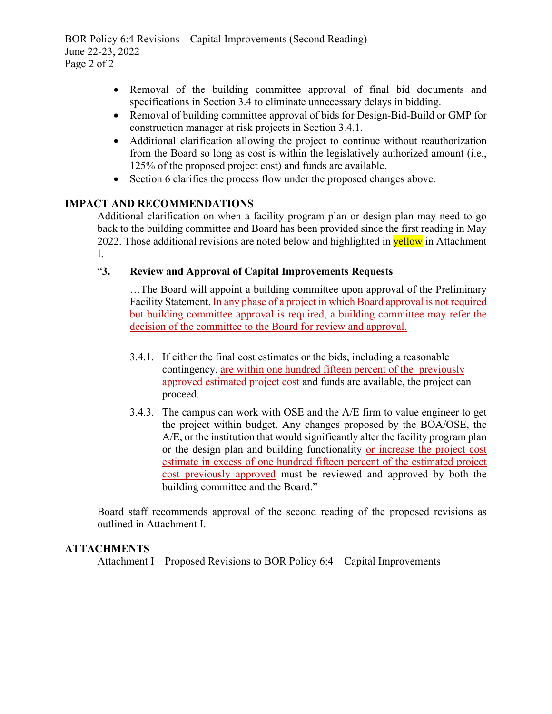BOR Policy 6:4 Revisions – Capital Improvements (Second Reading) June 22-23, 2022 Page 2 of 2

- Removal of the building committee approval of final bid documents and specifications in Section 3.4 to eliminate unnecessary delays in bidding.
- Removal of building committee approval of bids for Design-Bid-Build or GMP for construction manager at risk projects in Section 3.4.1.
- Additional clarification allowing the project to continue without reauthorization from the Board so long as cost is within the legislatively authorized amount (i.e., 125% of the proposed project cost) and funds are available.
- Section 6 clarifies the process flow under the proposed changes above.

## **IMPACT AND RECOMMENDATIONS**

Additional clarification on when a facility program plan or design plan may need to go back to the building committee and Board has been provided since the first reading in May 2022. Those additional revisions are noted below and highlighted in **yellow** in Attachment I.

## "**3. Review and Approval of Capital Improvements Requests**

…The Board will appoint a building committee upon approval of the Preliminary Facility Statement. In any phase of a project in which Board approval is not required but building committee approval is required, a building committee may refer the decision of the committee to the Board for review and approval.

- 3.4.1. If either the final cost estimates or the bids, including a reasonable contingency, are within one hundred fifteen percent of the previously approved estimated project cost and funds are available, the project can proceed.
- 3.4.3. The campus can work with OSE and the A/E firm to value engineer to get the project within budget. Any changes proposed by the BOA/OSE, the A/E, or the institution that would significantly alter the facility program plan or the design plan and building functionality or increase the project cost estimate in excess of one hundred fifteen percent of the estimated project cost previously approved must be reviewed and approved by both the building committee and the Board."

Board staff recommends approval of the second reading of the proposed revisions as outlined in Attachment I.

#### **ATTACHMENTS**

Attachment I – Proposed Revisions to BOR Policy 6:4 – Capital Improvements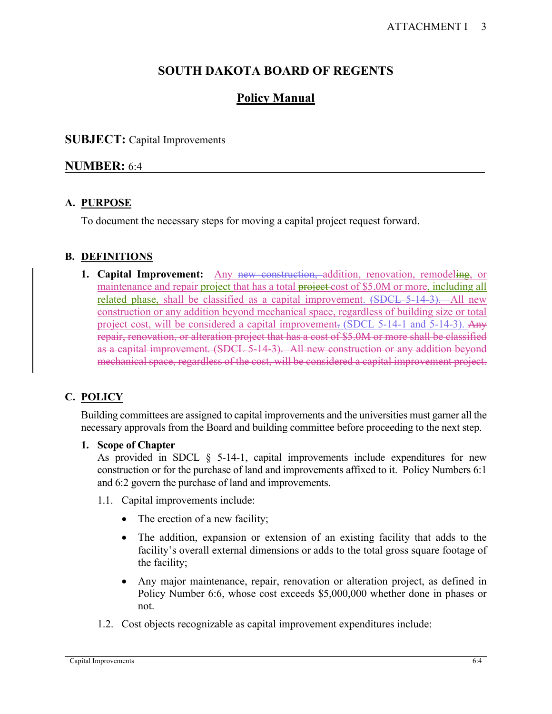# **SOUTH DAKOTA BOARD OF REGENTS**

# **Policy Manual**

## **SUBJECT:** Capital Improvements

## **NUMBER:** 6:4

## **A. PURPOSE**

To document the necessary steps for moving a capital project request forward.

## **B. DEFINITIONS**

**1. Capital Improvement:** Any new construction, addition, renovation, remodeling, or maintenance and repair project that has a total project cost of \$5.0M or more, including all related phase, shall be classified as a capital improvement. (SDCL 5-14-3). All new construction or any addition beyond mechanical space, regardless of building size or total project cost, will be considered a capital improvement. (SDCL 5-14-1 and 5-14-3). Any repair, renovation, or alteration project that has a cost of \$5.0M or more shall be classified as a capital improvement. (SDCL 5-14-3). All new construction or any addition beyond mechanical space, regardless of the cost, will be considered a capital improvement project.

## **C. POLICY**

Building committees are assigned to capital improvements and the universities must garner all the necessary approvals from the Board and building committee before proceeding to the next step.

#### **1. Scope of Chapter**

As provided in SDCL  $\S$  5-14-1, capital improvements include expenditures for new construction or for the purchase of land and improvements affixed to it. Policy Numbers 6:1 and 6:2 govern the purchase of land and improvements.

- 1.1. Capital improvements include:
	- The erection of a new facility;
	- The addition, expansion or extension of an existing facility that adds to the facility's overall external dimensions or adds to the total gross square footage of the facility;
	- Any major maintenance, repair, renovation or alteration project, as defined in Policy Number 6:6, whose cost exceeds \$5,000,000 whether done in phases or not.
- 1.2. Cost objects recognizable as capital improvement expenditures include: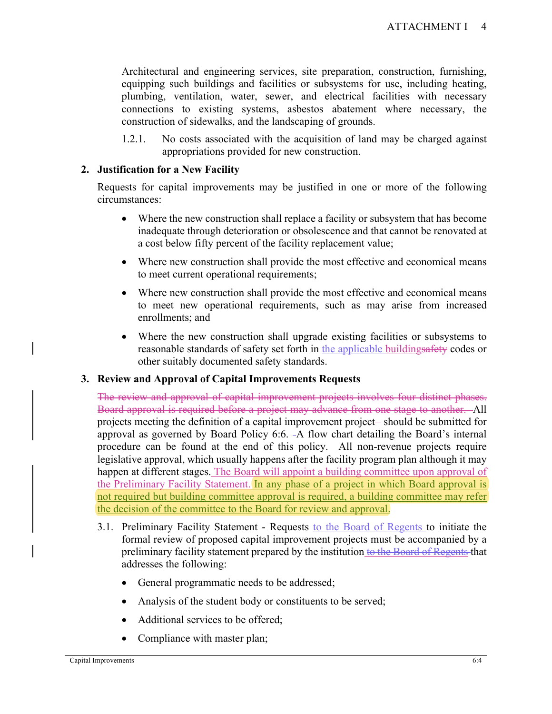Architectural and engineering services, site preparation, construction, furnishing, equipping such buildings and facilities or subsystems for use, including heating, plumbing, ventilation, water, sewer, and electrical facilities with necessary connections to existing systems, asbestos abatement where necessary, the construction of sidewalks, and the landscaping of grounds.

1.2.1. No costs associated with the acquisition of land may be charged against appropriations provided for new construction.

## **2. Justification for a New Facility**

Requests for capital improvements may be justified in one or more of the following circumstances:

- Where the new construction shall replace a facility or subsystem that has become inadequate through deterioration or obsolescence and that cannot be renovated at a cost below fifty percent of the facility replacement value;
- Where new construction shall provide the most effective and economical means to meet current operational requirements;
- Where new construction shall provide the most effective and economical means to meet new operational requirements, such as may arise from increased enrollments; and
- Where the new construction shall upgrade existing facilities or subsystems to reasonable standards of safety set forth in the applicable buildingsafety codes or other suitably documented safety standards.

## **3. Review and Approval of Capital Improvements Requests**

The review and approval of capital improvement projects involves four distinct phases. Board approval is required before a project may advance from one stage to another. All projects meeting the definition of a capital improvement project-should be submitted for approval as governed by Board Policy 6:6. -A flow chart detailing the Board's internal procedure can be found at the end of this policy. All non-revenue projects require legislative approval, which usually happens after the facility program plan although it may happen at different stages. The Board will appoint a building committee upon approval of the Preliminary Facility Statement. In any phase of a project in which Board approval is not required but building committee approval is required, a building committee may refer the decision of the committee to the Board for review and approval.

- 3.1. Preliminary Facility Statement Requests to the Board of Regents to initiate the formal review of proposed capital improvement projects must be accompanied by a preliminary facility statement prepared by the institution to the Board of Regents that addresses the following:
	- General programmatic needs to be addressed;
	- Analysis of the student body or constituents to be served;
	- Additional services to be offered;
	- Compliance with master plan;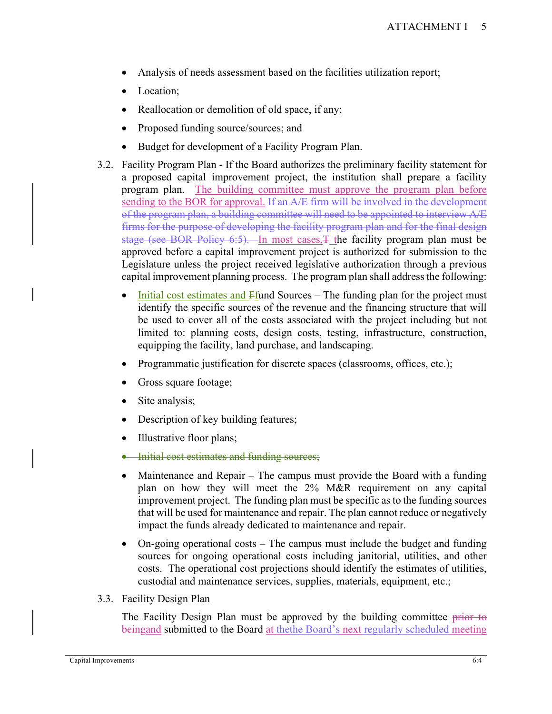- Analysis of needs assessment based on the facilities utilization report;
- Location;
- Reallocation or demolition of old space, if any;
- Proposed funding source/sources; and
- Budget for development of a Facility Program Plan.
- 3.2. Facility Program Plan If the Board authorizes the preliminary facility statement for a proposed capital improvement project, the institution shall prepare a facility program plan. The building committee must approve the program plan before sending to the BOR for approval. If an A/E firm will be involved in the development of the program plan, a building committee will need to be appointed to interview A/E firms for the purpose of developing the facility program plan and for the final design stage (see BOR Policy 6:5). In most cases,  $\pm$  the facility program plan must be approved before a capital improvement project is authorized for submission to the Legislature unless the project received legislative authorization through a previous capital improvement planning process. The program plan shall address the following:
	- Initial cost estimates and  $F$  fund Sources The funding plan for the project must identify the specific sources of the revenue and the financing structure that will be used to cover all of the costs associated with the project including but not limited to: planning costs, design costs, testing, infrastructure, construction, equipping the facility, land purchase, and landscaping.
	- Programmatic justification for discrete spaces (classrooms, offices, etc.);
	- Gross square footage;
	- Site analysis;
	- Description of key building features;
	- Illustrative floor plans;
	- Initial cost estimates and funding sources;
	- Maintenance and Repair The campus must provide the Board with a funding plan on how they will meet the 2% M&R requirement on any capital improvement project. The funding plan must be specific as to the funding sources that will be used for maintenance and repair. The plan cannot reduce or negatively impact the funds already dedicated to maintenance and repair.
	- On-going operational costs The campus must include the budget and funding sources for ongoing operational costs including janitorial, utilities, and other costs. The operational cost projections should identify the estimates of utilities, custodial and maintenance services, supplies, materials, equipment, etc.;
- 3.3. Facility Design Plan

The Facility Design Plan must be approved by the building committee prior to beingand submitted to the Board at the the Board's next regularly scheduled meeting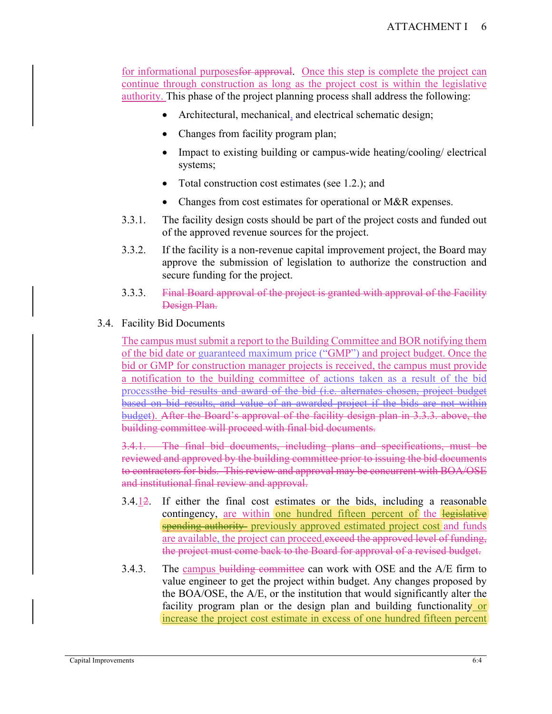for informational purposesfor approval. Once this step is complete the project can continue through construction as long as the project cost is within the legislative authority. This phase of the project planning process shall address the following:

- Architectural, mechanical, and electrical schematic design;
- Changes from facility program plan;
- Impact to existing building or campus-wide heating/cooling/ electrical systems;
- Total construction cost estimates (see 1.2.); and
- Changes from cost estimates for operational or M&R expenses.
- 3.3.1. The facility design costs should be part of the project costs and funded out of the approved revenue sources for the project.
- 3.3.2. If the facility is a non-revenue capital improvement project, the Board may approve the submission of legislation to authorize the construction and secure funding for the project.
- 3.3.3. Final Board approval of the project is granted with approval of the Facility Design Plan.

## 3.4. Facility Bid Documents

The campus must submit a report to the Building Committee and BOR notifying them of the bid date or guaranteed maximum price ("GMP") and project budget. Once the bid or GMP for construction manager projects is received, the campus must provide a notification to the building committee of actions taken as a result of the bid processthe bid results and award of the bid (i.e. alternates chosen, project budget based on bid results, and value of an awarded project if the bids are not within budget). After the Board's approval of the facility design plan in 3.3.3. above, the building committee will proceed with final bid documents.

3.4.1. The final bid documents, including plans and specifications, must be reviewed and approved by the building committee prior to issuing the bid documents to contractors for bids. This review and approval may be concurrent with BOA/OSE and institutional final review and approval.

- 3.4.12. If either the final cost estimates or the bids, including a reasonable contingency, are within one hundred fifteen percent of the legislative spending authority previously approved estimated project cost and funds are available, the project can proceed.exceed the approved level of funding, the project must come back to the Board for approval of a revised budget.
- 3.4.3. The campus building committee can work with OSE and the A/E firm to value engineer to get the project within budget. Any changes proposed by the BOA/OSE, the A/E, or the institution that would significantly alter the facility program plan or the design plan and building functionality or increase the project cost estimate in excess of one hundred fifteen percent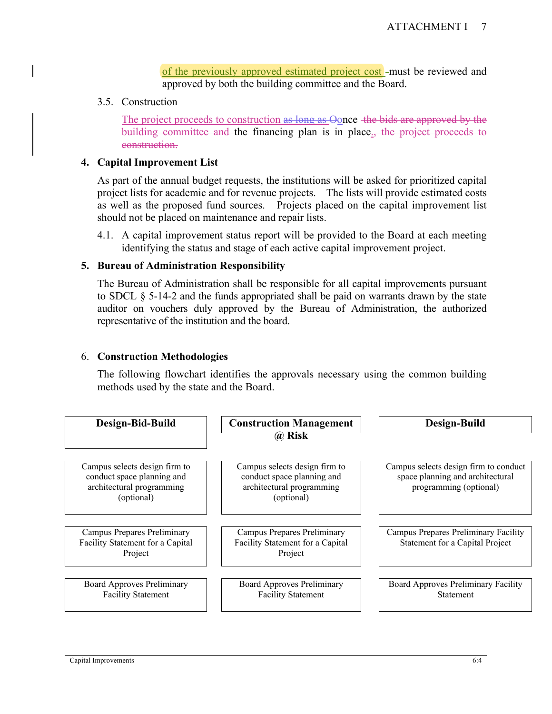of the previously approved estimated project cost -must be reviewed and approved by both the building committee and the Board.

3.5. Construction

The project proceeds to construction as long as Oonce the bids are approved by the building committee and the financing plan is in place<sub>1</sub>, the project proceeds to construction.

#### **4. Capital Improvement List**

As part of the annual budget requests, the institutions will be asked for prioritized capital project lists for academic and for revenue projects. The lists will provide estimated costs as well as the proposed fund sources. Projects placed on the capital improvement list should not be placed on maintenance and repair lists.

4.1. A capital improvement status report will be provided to the Board at each meeting identifying the status and stage of each active capital improvement project.

#### **5. Bureau of Administration Responsibility**

The Bureau of Administration shall be responsible for all capital improvements pursuant to SDCL § 5-14-2 and the funds appropriated shall be paid on warrants drawn by the state auditor on vouchers duly approved by the Bureau of Administration, the authorized representative of the institution and the board.

#### 6. **Construction Methodologies**

The following flowchart identifies the approvals necessary using the common building methods used by the state and the Board.

| Design-Bid-Build                                                                                       | <b>Construction Management</b><br>@ Risk                                                               | Design-Build                                                                                        |
|--------------------------------------------------------------------------------------------------------|--------------------------------------------------------------------------------------------------------|-----------------------------------------------------------------------------------------------------|
| Campus selects design firm to<br>conduct space planning and<br>architectural programming<br>(optional) | Campus selects design firm to<br>conduct space planning and<br>architectural programming<br>(optional) | Campus selects design firm to conduct<br>space planning and architectural<br>programming (optional) |
| <b>Campus Prepares Preliminary</b><br>Facility Statement for a Capital<br>Project                      | Campus Prepares Preliminary<br>Facility Statement for a Capital<br>Project                             | Campus Prepares Preliminary Facility<br>Statement for a Capital Project                             |
| <b>Board Approves Preliminary</b><br><b>Facility Statement</b>                                         | <b>Board Approves Preliminary</b><br><b>Facility Statement</b>                                         | Board Approves Preliminary Facility<br>Statement                                                    |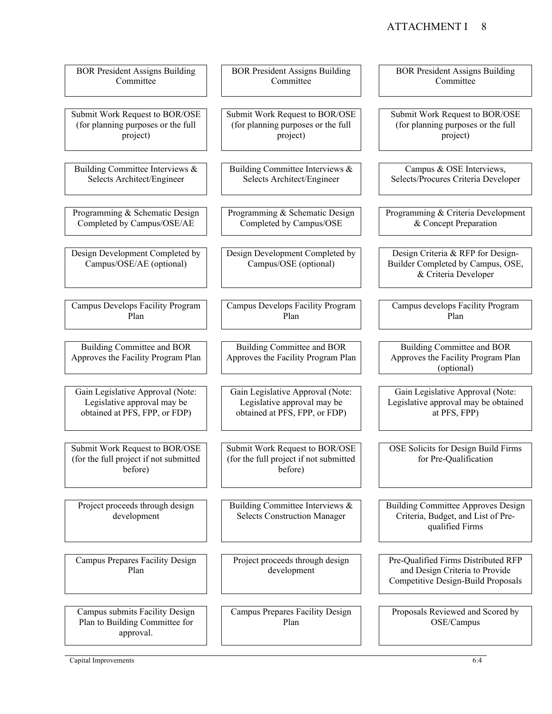## ATTACHMENT I 8

| <b>BOR President Assigns Building</b>                                               | <b>BOR President Assigns Building</b>                                               | <b>BOR President Assigns Building</b>                                                                       |
|-------------------------------------------------------------------------------------|-------------------------------------------------------------------------------------|-------------------------------------------------------------------------------------------------------------|
| Committee                                                                           | Committee                                                                           | Committee                                                                                                   |
| Submit Work Request to BOR/OSE                                                      | Submit Work Request to BOR/OSE                                                      | Submit Work Request to BOR/OSE                                                                              |
| (for planning purposes or the full                                                  | (for planning purposes or the full                                                  | (for planning purposes or the full                                                                          |
| project)                                                                            | project)                                                                            | project)                                                                                                    |
| Building Committee Interviews &                                                     | Building Committee Interviews &                                                     | Campus & OSE Interviews,                                                                                    |
| Selects Architect/Engineer                                                          | Selects Architect/Engineer                                                          | Selects/Procures Criteria Developer                                                                         |
| Programming & Schematic Design                                                      | Programming & Schematic Design                                                      | Programming & Criteria Development                                                                          |
| Completed by Campus/OSE/AE                                                          | Completed by Campus/OSE                                                             | & Concept Preparation                                                                                       |
| Design Development Completed by<br>Campus/OSE/AE (optional)                         | Design Development Completed by<br>Campus/OSE (optional)                            | Design Criteria & RFP for Design-<br>Builder Completed by Campus, OSE,<br>& Criteria Developer              |
| Campus Develops Facility Program                                                    | Campus Develops Facility Program                                                    | Campus develops Facility Program                                                                            |
| Plan                                                                                | Plan                                                                                | Plan                                                                                                        |
| Building Committee and BOR<br>Approves the Facility Program Plan                    | Building Committee and BOR<br>Approves the Facility Program Plan                    | Building Committee and BOR<br>Approves the Facility Program Plan<br>(optional)                              |
| Gain Legislative Approval (Note:                                                    | Gain Legislative Approval (Note:                                                    | Gain Legislative Approval (Note:                                                                            |
| Legislative approval may be                                                         | Legislative approval may be                                                         | Legislative approval may be obtained                                                                        |
| obtained at PFS, FPP, or FDP)                                                       | obtained at PFS, FPP, or FDP)                                                       | at PFS, FPP)                                                                                                |
| Submit Work Request to BOR/OSE<br>(for the full project if not submitted<br>before) | Submit Work Request to BOR/OSE<br>(for the full project if not submitted<br>before) | OSE Solicits for Design Build Firms<br>for Pre-Qualification                                                |
| Project proceeds through design<br>development                                      | Building Committee Interviews &<br><b>Selects Construction Manager</b>              | <b>Building Committee Approves Design</b><br>Criteria, Budget, and List of Pre-<br>qualified Firms          |
| Campus Prepares Facility Design<br>Plan                                             | Project proceeds through design<br>development                                      | Pre-Qualified Firms Distributed RFP<br>and Design Criteria to Provide<br>Competitive Design-Build Proposals |
| Campus submits Facility Design<br>Plan to Building Committee for<br>approval.       | Campus Prepares Facility Design<br>Plan                                             | Proposals Reviewed and Scored by<br>OSE/Campus                                                              |

Capital Improvements 6:4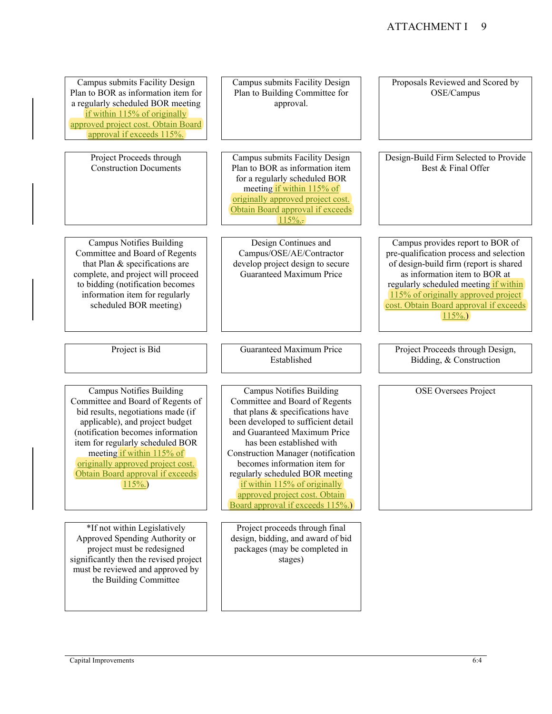Campus submits Facility Design Plan to BOR as information item for a regularly scheduled BOR meeting if within 115% of originally approved project cost. Obtain Board approval if exceeds 115%.

> Project Proceeds through Construction Documents

Campus Notifies Building Committee and Board of Regents that Plan & specifications are complete, and project will proceed to bidding (notification becomes information item for regularly scheduled BOR meeting)

Campus Notifies Building Committee and Board of Regents of bid results, negotiations made (if applicable), and project budget (notification becomes information item for regularly scheduled BOR meeting if within 115% of originally approved project cost. Obtain Board approval if exceeds 115%.)

\*If not within Legislatively Approved Spending Authority or project must be redesigned significantly then the revised project must be reviewed and approved by the Building Committee

Project is Bid Guaranteed Maximum Price Established Campus Notifies Building Committee and Board of Regents that plans & specifications have been developed to sufficient detail and Guaranteed Maximum Price has been established with Construction Manager (notification becomes information item for

Campus submits Facility Design Plan to Building Committee for approval.

Campus submits Facility Design Plan to BOR as information item for a regularly scheduled BOR meeting if within 115% of originally approved project cost. Obtain Board approval if exceeds  $115%$ .

Design Continues and Campus/OSE/AE/Contractor develop project design to secure Guaranteed Maximum Price

l

regularly scheduled BOR meeting if within 115% of originally approved project cost. Obtain Board approval if exceeds 115%.)

Project proceeds through final design, bidding, and award of bid packages (may be completed in stages)

Design-Build Firm Selected to Provide Best & Final Offer

Campus provides report to BOR of pre-qualification process and selection of design-build firm (report is shared as information item to BOR at regularly scheduled meeting if within 115% of originally approved project cost. Obtain Board approval if exceeds 115%.)

Project Proceeds through Design, Bidding, & Construction

OSE Oversees Project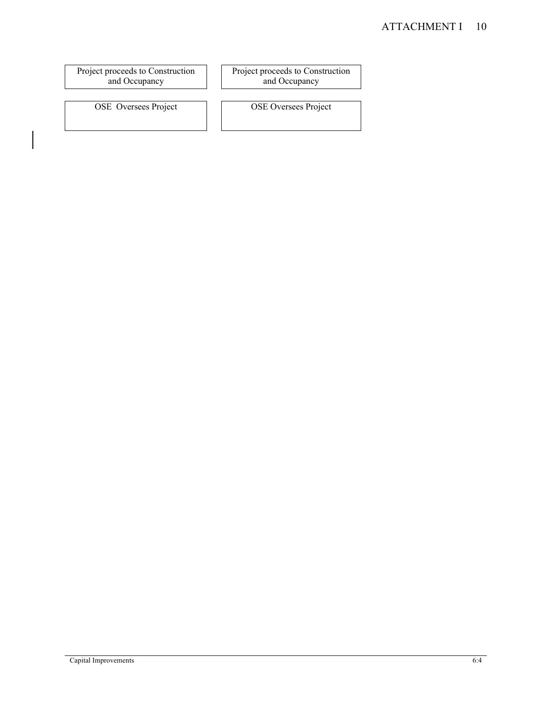## ATTACHMENT I 10

Project proceeds to Construction and Occupancy

Project proceeds to Construction and Occupancy

OSE Oversees Project OSE Oversees Project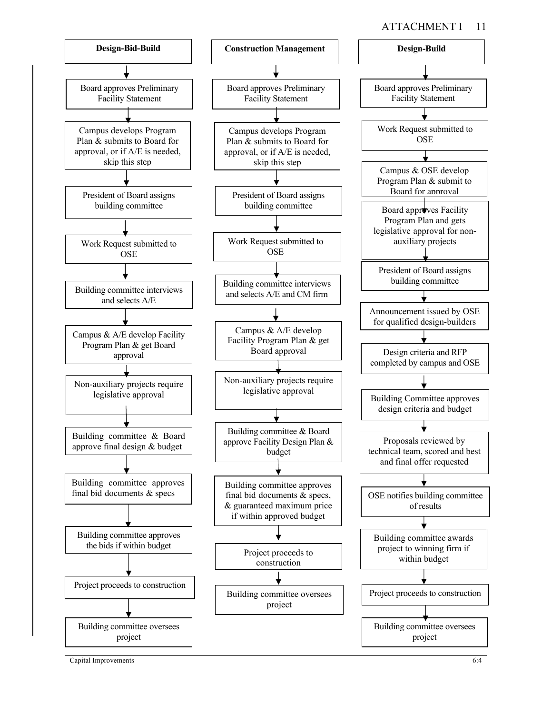

Capital Improvements 6:4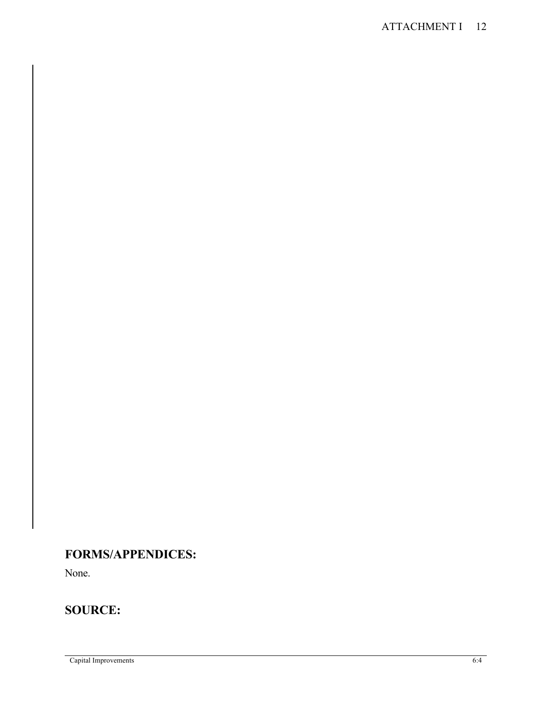# **FORMS/APPENDICES:**

None.

# **SOURCE:**